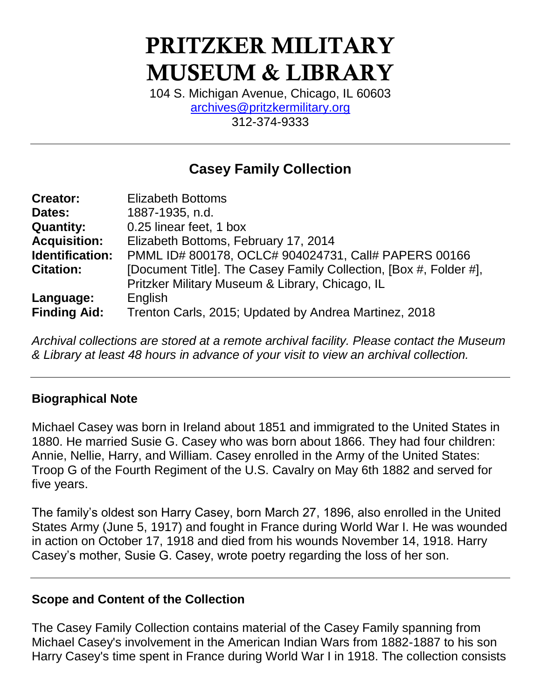# PRITZKER MILITARY MUSEUM & LIBRARY

104 S. Michigan Avenue, Chicago, IL 60603 [archives@pritzkermilitary.org](mailto:archives@pritzkermilitary.org) 312-374-9333

# **Casey Family Collection**

| <b>Creator:</b>     | <b>Elizabeth Bottoms</b>                                          |
|---------------------|-------------------------------------------------------------------|
| Dates:              | 1887-1935, n.d.                                                   |
| <b>Quantity:</b>    | 0.25 linear feet, 1 box                                           |
| <b>Acquisition:</b> | Elizabeth Bottoms, February 17, 2014                              |
| Identification:     | PMML ID# 800178, OCLC# 904024731, Call# PAPERS 00166              |
| <b>Citation:</b>    | [Document Title]. The Casey Family Collection, [Box #, Folder #], |
|                     | Pritzker Military Museum & Library, Chicago, IL                   |
| Language:           | English                                                           |
| <b>Finding Aid:</b> | Trenton Carls, 2015; Updated by Andrea Martinez, 2018             |

*Archival collections are stored at a remote archival facility. Please contact the Museum & Library at least 48 hours in advance of your visit to view an archival collection.*

### **Biographical Note**

Michael Casey was born in Ireland about 1851 and immigrated to the United States in 1880. He married Susie G. Casey who was born about 1866. They had four children: Annie, Nellie, Harry, and William. Casey enrolled in the Army of the United States: Troop G of the Fourth Regiment of the U.S. Cavalry on May 6th 1882 and served for five years.

The family's oldest son Harry Casey, born March 27, 1896, also enrolled in the United States Army (June 5, 1917) and fought in France during World War I. He was wounded in action on October 17, 1918 and died from his wounds November 14, 1918. Harry Casey's mother, Susie G. Casey, wrote poetry regarding the loss of her son.

### **Scope and Content of the Collection**

The Casey Family Collection contains material of the Casey Family spanning from Michael Casey's involvement in the American Indian Wars from 1882-1887 to his son Harry Casey's time spent in France during World War I in 1918. The collection consists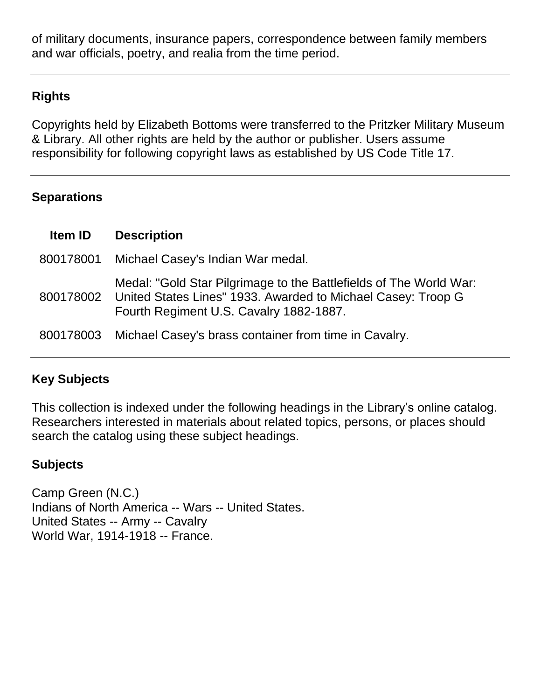of military documents, insurance papers, correspondence between family members and war officials, poetry, and realia from the time period.

## **Rights**

Copyrights held by Elizabeth Bottoms were transferred to the Pritzker Military Museum & Library. All other rights are held by the author or publisher. Users assume responsibility for following copyright laws as established by US Code Title 17.

## **Separations**

| <b>Item ID</b> | <b>Description</b>                                                                                                                                                                      |
|----------------|-----------------------------------------------------------------------------------------------------------------------------------------------------------------------------------------|
| 800178001      | Michael Casey's Indian War medal.                                                                                                                                                       |
|                | Medal: "Gold Star Pilgrimage to the Battlefields of The World War:<br>800178002 United States Lines" 1933. Awarded to Michael Casey: Troop G<br>Fourth Regiment U.S. Cavalry 1882-1887. |
|                | 800178003 Michael Casey's brass container from time in Cavalry.                                                                                                                         |

## **Key Subjects**

This collection is indexed under the following headings in the Library's online catalog. Researchers interested in materials about related topics, persons, or places should search the catalog using these subject headings.

## **Subjects**

Camp Green (N.C.) Indians of North America -- Wars -- United States. United States -- Army -- Cavalry World War, 1914-1918 -- France.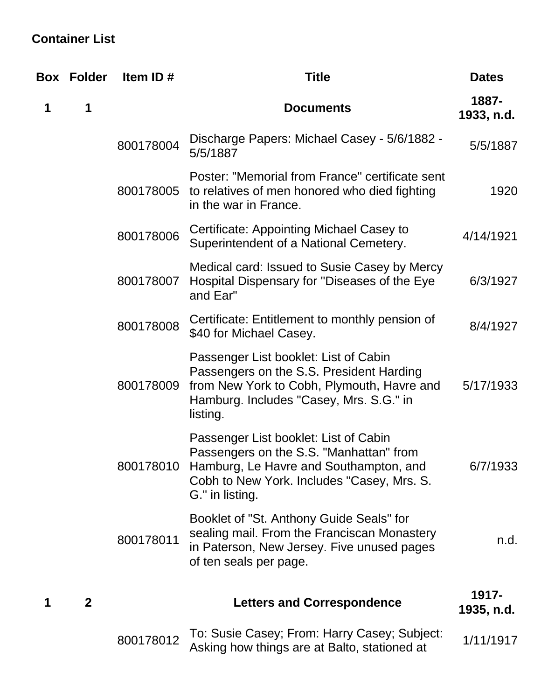## **Container List**

|   | <b>Box Folder</b> | Item ID#  | <b>Title</b>                                                                                                                                                                                | <b>Dates</b>        |
|---|-------------------|-----------|---------------------------------------------------------------------------------------------------------------------------------------------------------------------------------------------|---------------------|
| 1 | 1                 |           | <b>Documents</b>                                                                                                                                                                            | 1887-<br>1933, n.d. |
|   |                   | 800178004 | Discharge Papers: Michael Casey - 5/6/1882 -<br>5/5/1887                                                                                                                                    | 5/5/1887            |
|   |                   | 800178005 | Poster: "Memorial from France" certificate sent<br>to relatives of men honored who died fighting<br>in the war in France.                                                                   | 1920                |
|   |                   | 800178006 | Certificate: Appointing Michael Casey to<br>Superintendent of a National Cemetery.                                                                                                          | 4/14/1921           |
|   |                   | 800178007 | Medical card: Issued to Susie Casey by Mercy<br>Hospital Dispensary for "Diseases of the Eye<br>and Ear"                                                                                    | 6/3/1927            |
|   |                   | 800178008 | Certificate: Entitlement to monthly pension of<br>\$40 for Michael Casey.                                                                                                                   | 8/4/1927            |
|   |                   | 800178009 | Passenger List booklet: List of Cabin<br>Passengers on the S.S. President Harding<br>from New York to Cobh, Plymouth, Havre and<br>Hamburg. Includes "Casey, Mrs. S.G." in<br>listing.      | 5/17/1933           |
|   |                   | 800178010 | Passenger List booklet: List of Cabin<br>Passengers on the S.S. "Manhattan" from<br>Hamburg, Le Havre and Southampton, and<br>Cobh to New York. Includes "Casey, Mrs. S.<br>G." in listing. | 6/7/1933            |
|   |                   | 800178011 | Booklet of "St. Anthony Guide Seals" for<br>sealing mail. From the Franciscan Monastery<br>in Paterson, New Jersey. Five unused pages<br>of ten seals per page.                             | n.d.                |
| 1 | $\mathbf{2}$      |           | <b>Letters and Correspondence</b>                                                                                                                                                           | 1917-<br>1935, n.d. |
|   |                   | 800178012 | To: Susie Casey; From: Harry Casey; Subject:<br>Asking how things are at Balto, stationed at                                                                                                | 1/11/1917           |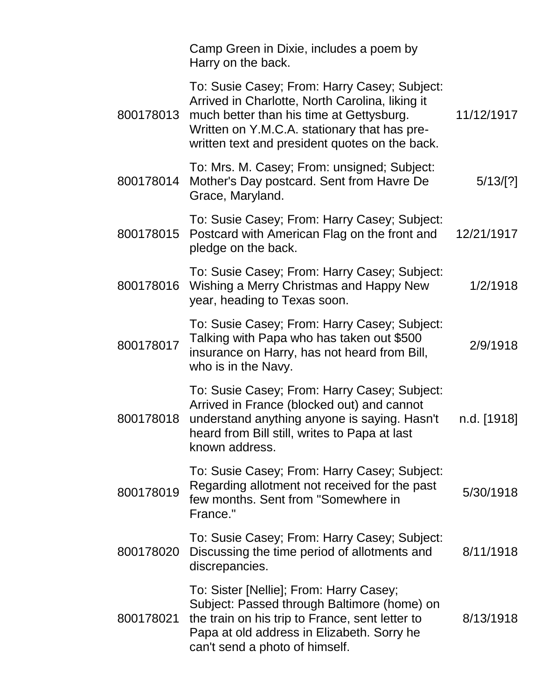|           | Camp Green in Dixie, includes a poem by<br>Harry on the back.                                                                                                                                                                                 |             |
|-----------|-----------------------------------------------------------------------------------------------------------------------------------------------------------------------------------------------------------------------------------------------|-------------|
| 800178013 | To: Susie Casey; From: Harry Casey; Subject:<br>Arrived in Charlotte, North Carolina, liking it<br>much better than his time at Gettysburg.<br>Written on Y.M.C.A. stationary that has pre-<br>written text and president quotes on the back. | 11/12/1917  |
| 800178014 | To: Mrs. M. Casey; From: unsigned; Subject:<br>Mother's Day postcard. Sent from Havre De<br>Grace, Maryland.                                                                                                                                  | 5/13/[?]    |
| 800178015 | To: Susie Casey; From: Harry Casey; Subject:<br>Postcard with American Flag on the front and<br>pledge on the back.                                                                                                                           | 12/21/1917  |
| 800178016 | To: Susie Casey; From: Harry Casey; Subject:<br>Wishing a Merry Christmas and Happy New<br>year, heading to Texas soon.                                                                                                                       | 1/2/1918    |
| 800178017 | To: Susie Casey; From: Harry Casey; Subject:<br>Talking with Papa who has taken out \$500<br>insurance on Harry, has not heard from Bill,<br>who is in the Navy.                                                                              | 2/9/1918    |
| 800178018 | To: Susie Casey; From: Harry Casey; Subject:<br>Arrived in France (blocked out) and cannot<br>understand anything anyone is saying. Hasn't<br>heard from Bill still, writes to Papa at last<br>known address.                                 | n.d. [1918] |
| 800178019 | To: Susie Casey; From: Harry Casey; Subject:<br>Regarding allotment not received for the past<br>few months. Sent from "Somewhere in<br>France."                                                                                              | 5/30/1918   |
| 800178020 | To: Susie Casey; From: Harry Casey; Subject:<br>Discussing the time period of allotments and<br>discrepancies.                                                                                                                                | 8/11/1918   |
| 800178021 | To: Sister [Nellie]; From: Harry Casey;<br>Subject: Passed through Baltimore (home) on<br>the train on his trip to France, sent letter to<br>Papa at old address in Elizabeth. Sorry he<br>can't send a photo of himself.                     | 8/13/1918   |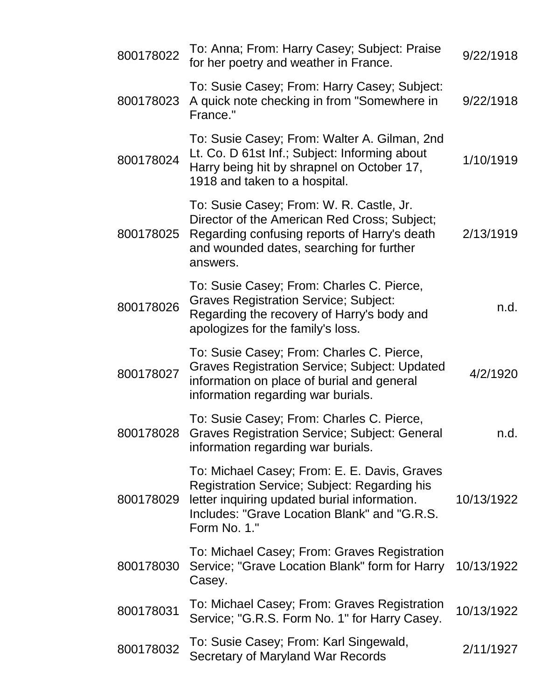| 800178022 | To: Anna; From: Harry Casey; Subject: Praise<br>for her poetry and weather in France.                                                                                                                        | 9/22/1918  |
|-----------|--------------------------------------------------------------------------------------------------------------------------------------------------------------------------------------------------------------|------------|
| 800178023 | To: Susie Casey; From: Harry Casey; Subject:<br>A quick note checking in from "Somewhere in<br>France."                                                                                                      | 9/22/1918  |
| 800178024 | To: Susie Casey; From: Walter A. Gilman, 2nd<br>Lt. Co. D 61st Inf.; Subject: Informing about<br>Harry being hit by shrapnel on October 17,<br>1918 and taken to a hospital.                                 | 1/10/1919  |
| 800178025 | To: Susie Casey; From: W. R. Castle, Jr.<br>Director of the American Red Cross; Subject;<br>Regarding confusing reports of Harry's death<br>and wounded dates, searching for further<br>answers.             | 2/13/1919  |
| 800178026 | To: Susie Casey; From: Charles C. Pierce,<br><b>Graves Registration Service; Subject:</b><br>Regarding the recovery of Harry's body and<br>apologizes for the family's loss.                                 | n.d.       |
| 800178027 | To: Susie Casey; From: Charles C. Pierce,<br><b>Graves Registration Service; Subject: Updated</b><br>information on place of burial and general<br>information regarding war burials.                        | 4/2/1920   |
| 800178028 | To: Susie Casey; From: Charles C. Pierce,<br><b>Graves Registration Service; Subject: General</b><br>information regarding war burials.                                                                      | n.d.       |
| 800178029 | To: Michael Casey; From: E. E. Davis, Graves<br>Registration Service; Subject: Regarding his<br>letter inquiring updated burial information.<br>Includes: "Grave Location Blank" and "G.R.S.<br>Form No. 1." | 10/13/1922 |
| 800178030 | To: Michael Casey; From: Graves Registration<br>Service; "Grave Location Blank" form for Harry<br>Casey.                                                                                                     | 10/13/1922 |
| 800178031 | To: Michael Casey; From: Graves Registration<br>Service; "G.R.S. Form No. 1" for Harry Casey.                                                                                                                | 10/13/1922 |
| 800178032 | To: Susie Casey; From: Karl Singewald,<br>Secretary of Maryland War Records                                                                                                                                  | 2/11/1927  |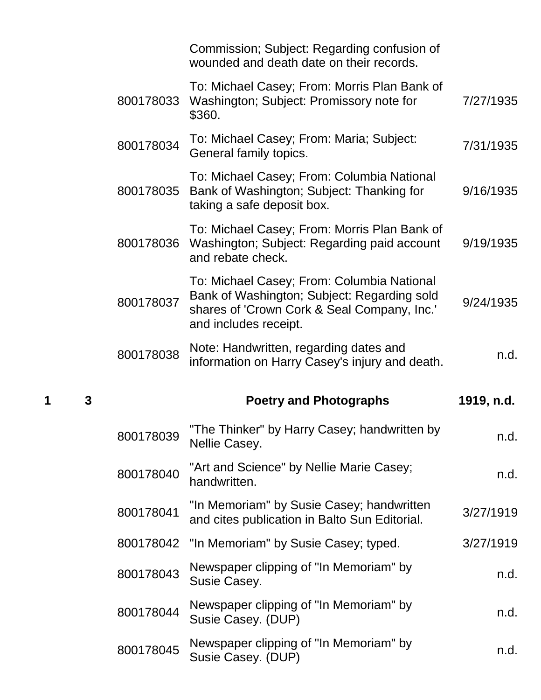|   |   |           | Commission; Subject: Regarding confusion of<br>wounded and death date on their records.                                                                           |            |
|---|---|-----------|-------------------------------------------------------------------------------------------------------------------------------------------------------------------|------------|
|   |   | 800178033 | To: Michael Casey; From: Morris Plan Bank of<br>Washington; Subject: Promissory note for<br>\$360.                                                                | 7/27/1935  |
|   |   | 800178034 | To: Michael Casey; From: Maria; Subject:<br>General family topics.                                                                                                | 7/31/1935  |
|   |   | 800178035 | To: Michael Casey; From: Columbia National<br>Bank of Washington; Subject: Thanking for<br>taking a safe deposit box.                                             | 9/16/1935  |
|   |   | 800178036 | To: Michael Casey; From: Morris Plan Bank of<br>Washington; Subject: Regarding paid account<br>and rebate check.                                                  | 9/19/1935  |
|   |   | 800178037 | To: Michael Casey; From: Columbia National<br>Bank of Washington; Subject: Regarding sold<br>shares of 'Crown Cork & Seal Company, Inc.'<br>and includes receipt. | 9/24/1935  |
|   |   |           | Note: Handwritten, regarding dates and                                                                                                                            |            |
|   |   | 800178038 | information on Harry Casey's injury and death.                                                                                                                    | n.d.       |
| 1 | 3 |           | <b>Poetry and Photographs</b>                                                                                                                                     | 1919, n.d. |
|   |   | 800178039 | "The Thinker" by Harry Casey; handwritten by<br>Nellie Casey.                                                                                                     | n.d.       |
|   |   | 800178040 | "Art and Science" by Nellie Marie Casey;<br>handwritten.                                                                                                          | n.d.       |
|   |   | 800178041 | "In Memoriam" by Susie Casey; handwritten<br>and cites publication in Balto Sun Editorial.                                                                        | 3/27/1919  |
|   |   | 800178042 | "In Memoriam" by Susie Casey; typed.                                                                                                                              | 3/27/1919  |
|   |   | 800178043 | Newspaper clipping of "In Memoriam" by<br>Susie Casey.                                                                                                            | n.d.       |
|   |   | 800178044 | Newspaper clipping of "In Memoriam" by<br>Susie Casey. (DUP)                                                                                                      | n.d.       |